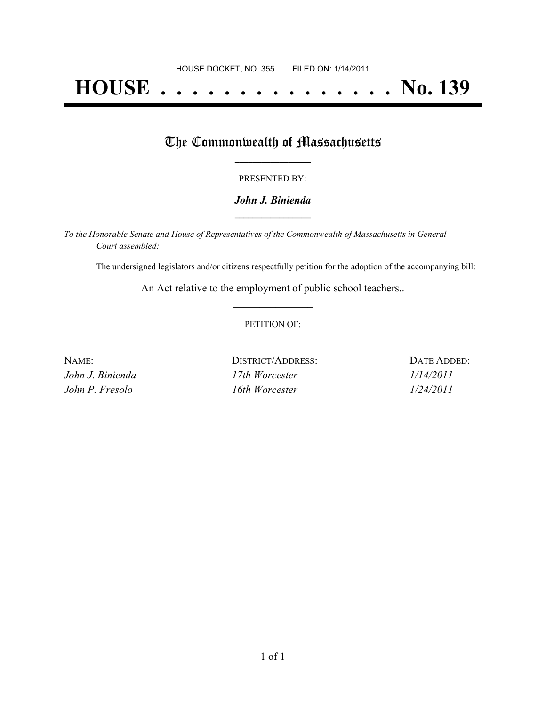# **HOUSE . . . . . . . . . . . . . . . No. 139**

## The Commonwealth of Massachusetts

#### PRESENTED BY:

#### *John J. Binienda* **\_\_\_\_\_\_\_\_\_\_\_\_\_\_\_\_\_**

*To the Honorable Senate and House of Representatives of the Commonwealth of Massachusetts in General Court assembled:*

The undersigned legislators and/or citizens respectfully petition for the adoption of the accompanying bill:

An Act relative to the employment of public school teachers.. **\_\_\_\_\_\_\_\_\_\_\_\_\_\_\_**

#### PETITION OF:

| NAME:            | DISTRICT/ADDRESS: | DATE ADDED' |
|------------------|-------------------|-------------|
| John J. Binienda | 17th Worcester    | 1/14/2011   |
| John P. Fresolo  | 16th Worcester    | 1/24/2011   |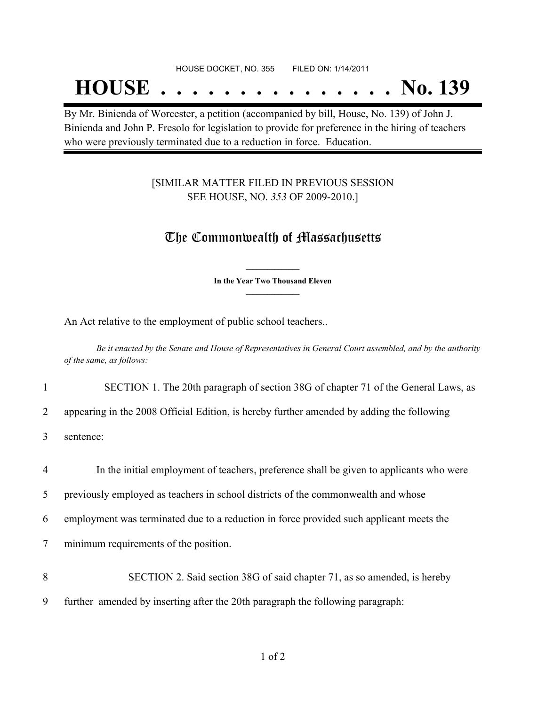#### HOUSE DOCKET, NO. 355 FILED ON: 1/14/2011

## **HOUSE . . . . . . . . . . . . . . . No. 139**

By Mr. Binienda of Worcester, a petition (accompanied by bill, House, No. 139) of John J. Binienda and John P. Fresolo for legislation to provide for preference in the hiring of teachers who were previously terminated due to a reduction in force. Education.

#### [SIMILAR MATTER FILED IN PREVIOUS SESSION SEE HOUSE, NO. *353* OF 2009-2010.]

### The Commonwealth of Massachusetts

**\_\_\_\_\_\_\_\_\_\_\_\_\_\_\_ In the Year Two Thousand Eleven \_\_\_\_\_\_\_\_\_\_\_\_\_\_\_**

An Act relative to the employment of public school teachers..

Be it enacted by the Senate and House of Representatives in General Court assembled, and by the authority *of the same, as follows:*

1 SECTION 1. The 20th paragraph of section 38G of chapter 71 of the General Laws, as

2 appearing in the 2008 Official Edition, is hereby further amended by adding the following

3 sentence:

4 In the initial employment of teachers, preference shall be given to applicants who were

5 previously employed as teachers in school districts of the commonwealth and whose

6 employment was terminated due to a reduction in force provided such applicant meets the

7 minimum requirements of the position.

- 8 SECTION 2. Said section 38G of said chapter 71, as so amended, is hereby
- 9 further amended by inserting after the 20th paragraph the following paragraph: